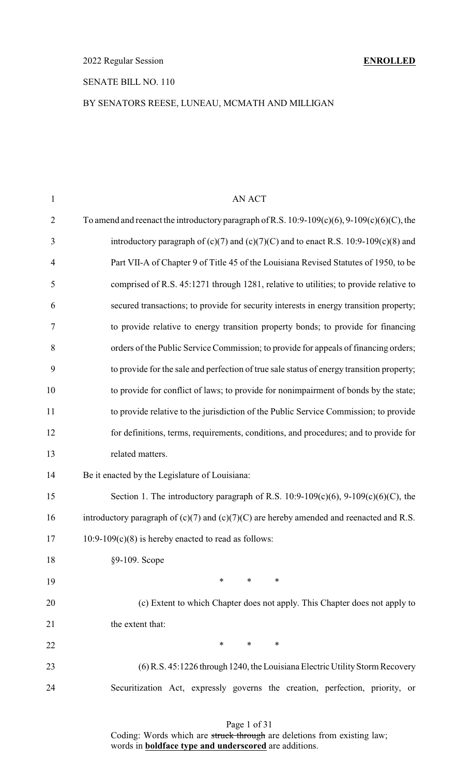# SENATE BILL NO. 110

# BY SENATORS REESE, LUNEAU, MCMATH AND MILLIGAN

| $\mathbf{1}$   | AN ACT                                                                                            |
|----------------|---------------------------------------------------------------------------------------------------|
| $\overline{2}$ | To amend and reenact the introductory paragraph of R.S. $10:9-109(c)(6)$ , $9-109(c)(6)(C)$ , the |
| 3              | introductory paragraph of $(c)(7)$ and $(c)(7)(C)$ and to enact R.S. 10:9-109 $(c)(8)$ and        |
| $\overline{4}$ | Part VII-A of Chapter 9 of Title 45 of the Louisiana Revised Statutes of 1950, to be              |
| 5              | comprised of R.S. 45:1271 through 1281, relative to utilities; to provide relative to             |
| 6              | secured transactions; to provide for security interests in energy transition property;            |
| $\tau$         | to provide relative to energy transition property bonds; to provide for financing                 |
| $8\,$          | orders of the Public Service Commission; to provide for appeals of financing orders;              |
| 9              | to provide for the sale and perfection of true sale status of energy transition property;         |
| 10             | to provide for conflict of laws; to provide for nonimpairment of bonds by the state;              |
| 11             | to provide relative to the jurisdiction of the Public Service Commission; to provide              |
| 12             | for definitions, terms, requirements, conditions, and procedures; and to provide for              |
| 13             | related matters.                                                                                  |
| 14             | Be it enacted by the Legislature of Louisiana:                                                    |
| 15             | Section 1. The introductory paragraph of R.S. $10:9-109(c)(6)$ , $9-109(c)(6)(C)$ , the           |
| 16             | introductory paragraph of $(c)(7)$ and $(c)(7)(C)$ are hereby amended and reenacted and R.S.      |
| 17             | $10:9-109(c)(8)$ is hereby enacted to read as follows:                                            |
| 18             | §9-109. Scope                                                                                     |
| 19             | $\ast$<br>$\ast$<br>$\ast$                                                                        |
| 20             | (c) Extent to which Chapter does not apply. This Chapter does not apply to                        |
| 21             | the extent that:                                                                                  |
| 22             | ∗<br>∗<br>$\ast$                                                                                  |
| 23             | (6) R.S. 45:1226 through 1240, the Louisiana Electric Utility Storm Recovery                      |
| 24             | Securitization Act, expressly governs the creation, perfection, priority, or                      |
|                |                                                                                                   |

# Page 1 of 31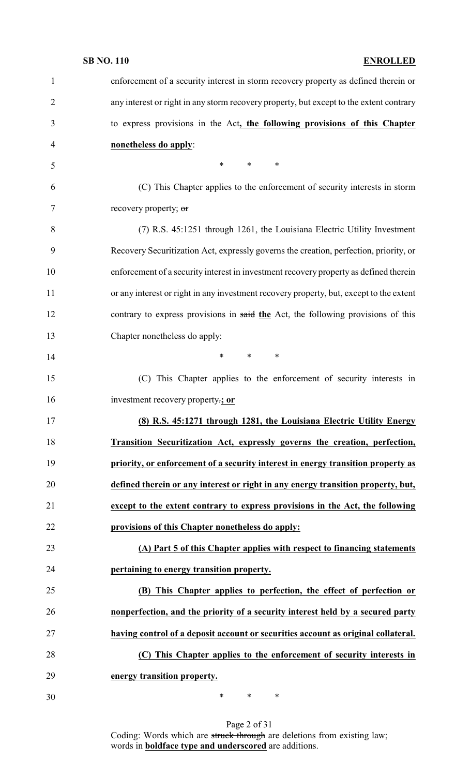| $\mathbf{1}$   | enforcement of a security interest in storm recovery property as defined therein or     |
|----------------|-----------------------------------------------------------------------------------------|
| $\overline{2}$ | any interest or right in any storm recovery property, but except to the extent contrary |
| 3              | to express provisions in the Act, the following provisions of this Chapter              |
| $\overline{4}$ | nonetheless do apply:                                                                   |
| 5              | $\ast$<br>$*$<br>$\ast$                                                                 |
| 6              | (C) This Chapter applies to the enforcement of security interests in storm              |
| 7              | recovery property; or                                                                   |
| 8              | (7) R.S. 45:1251 through 1261, the Louisiana Electric Utility Investment                |
| 9              | Recovery Securitization Act, expressly governs the creation, perfection, priority, or   |
| 10             | enforcement of a security interest in investment recovery property as defined therein   |
| 11             | or any interest or right in any investment recovery property, but, except to the extent |
| 12             | contrary to express provisions in said the Act, the following provisions of this        |
| 13             | Chapter nonetheless do apply:                                                           |
| 14             | $\ast$<br>$\ast$<br>$\ast$                                                              |
| 15             | (C) This Chapter applies to the enforcement of security interests in                    |
| 16             | investment recovery property:; or                                                       |
| 17             | (8) R.S. 45:1271 through 1281, the Louisiana Electric Utility Energy                    |
| 18             | Transition Securitization Act, expressly governs the creation, perfection,              |
| 19             | priority, or enforcement of a security interest in energy transition property as        |
| 20             | defined therein or any interest or right in any energy transition property, but,        |
| 21             | except to the extent contrary to express provisions in the Act, the following           |
| 22             | provisions of this Chapter nonetheless do apply:                                        |
| 23             | (A) Part 5 of this Chapter applies with respect to financing statements                 |
| 24             | pertaining to energy transition property.                                               |
| 25             | (B) This Chapter applies to perfection, the effect of perfection or                     |
| 26             | nonperfection, and the priority of a security interest held by a secured party          |
| 27             | having control of a deposit account or securities account as original collateral.       |
| 28             | (C) This Chapter applies to the enforcement of security interests in                    |
| 29             | energy transition property.                                                             |
|                |                                                                                         |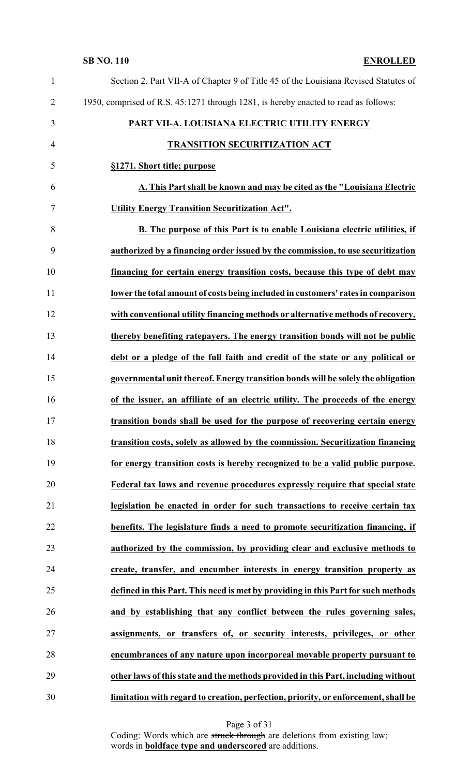| $\mathbf{1}$   | Section 2. Part VII-A of Chapter 9 of Title 45 of the Louisiana Revised Statutes of |
|----------------|-------------------------------------------------------------------------------------|
| $\overline{2}$ | 1950, comprised of R.S. 45:1271 through 1281, is hereby enacted to read as follows: |
| 3              | PART VII-A. LOUISIANA ELECTRIC UTILITY ENERGY                                       |
| $\overline{4}$ | <b>TRANSITION SECURITIZATION ACT</b>                                                |
| 5              | §1271. Short title; purpose                                                         |
| 6              | A. This Part shall be known and may be cited as the "Louisiana Electric             |
| $\tau$         | <b>Utility Energy Transition Securitization Act".</b>                               |
| 8              | B. The purpose of this Part is to enable Louisiana electric utilities, if           |
| 9              | authorized by a financing order issued by the commission, to use securitization     |
| 10             | financing for certain energy transition costs, because this type of debt may        |
| 11             | lower the total amount of costs being included in customers' rates in comparison    |
| 12             | with conventional utility financing methods or alternative methods of recovery,     |
| 13             | thereby benefiting ratepayers. The energy transition bonds will not be public       |
| 14             | debt or a pledge of the full faith and credit of the state or any political or      |
| 15             | governmental unit thereof. Energy transition bonds will be solely the obligation    |
| 16             | of the issuer, an affiliate of an electric utility. The proceeds of the energy      |
| 17             | transition bonds shall be used for the purpose of recovering certain energy         |
| 18             | transition costs, solely as allowed by the commission. Securitization financing     |
| 19             | for energy transition costs is hereby recognized to be a valid public purpose.      |
| 20             | Federal tax laws and revenue procedures expressly require that special state        |
| 21             | legislation be enacted in order for such transactions to receive certain tax        |
| 22             | benefits. The legislature finds a need to promote securitization financing, if      |
| 23             | authorized by the commission, by providing clear and exclusive methods to           |
| 24             | create, transfer, and encumber interests in energy transition property as           |
| 25             | defined in this Part. This need is met by providing in this Part for such methods   |
| 26             | and by establishing that any conflict between the rules governing sales,            |
| 27             | assignments, or transfers of, or security interests, privileges, or other           |
| 28             | encumbrances of any nature upon incorporeal movable property pursuant to            |
| 29             | other laws of this state and the methods provided in this Part, including without   |
| 30             | limitation with regard to creation, perfection, priority, or enforcement, shall be  |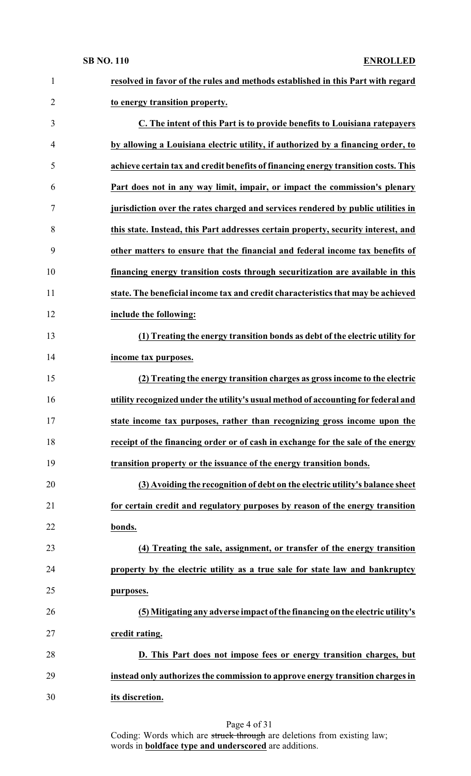| $\mathbf{1}$   | resolved in favor of the rules and methods established in this Part with regard    |
|----------------|------------------------------------------------------------------------------------|
| 2              | to energy transition property.                                                     |
| 3              | C. The intent of this Part is to provide benefits to Louisiana ratepayers          |
| $\overline{4}$ | by allowing a Louisiana electric utility, if authorized by a financing order, to   |
| 5              | achieve certain tax and credit benefits of financing energy transition costs. This |
| 6              | Part does not in any way limit, impair, or impact the commission's plenary         |
| 7              | jurisdiction over the rates charged and services rendered by public utilities in   |
| 8              | this state. Instead, this Part addresses certain property, security interest, and  |
| 9              | other matters to ensure that the financial and federal income tax benefits of      |
| 10             | financing energy transition costs through securitization are available in this     |
| 11             | state. The beneficial income tax and credit characteristics that may be achieved   |
| 12             | include the following:                                                             |
| 13             | (1) Treating the energy transition bonds as debt of the electric utility for       |
| 14             | income tax purposes.                                                               |
| 15             | (2) Treating the energy transition charges as gross income to the electric         |
| 16             | utility recognized under the utility's usual method of accounting for federal and  |
| 17             | state income tax purposes, rather than recognizing gross income upon the           |
| 18             | receipt of the financing order or of cash in exchange for the sale of the energy   |
| 19             | transition property or the issuance of the energy transition bonds.                |
| 20             | (3) Avoiding the recognition of debt on the electric utility's balance sheet       |
| 21             | for certain credit and regulatory purposes by reason of the energy transition      |
| 22             | bonds.                                                                             |
| 23             | (4) Treating the sale, assignment, or transfer of the energy transition            |
| 24             | property by the electric utility as a true sale for state law and bankruptcy       |
| 25             | purposes.                                                                          |
| 26             | (5) Mitigating any adverse impact of the financing on the electric utility's       |
| 27             | credit rating.                                                                     |
| 28             | D. This Part does not impose fees or energy transition charges, but                |
| 29             | instead only authorizes the commission to approve energy transition charges in     |
| 30             | its discretion.                                                                    |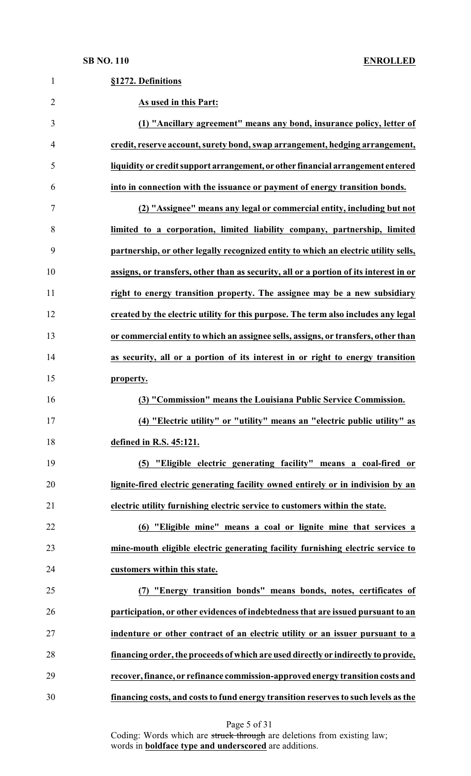| 1              | §1272. Definitions                                                                    |
|----------------|---------------------------------------------------------------------------------------|
| $\overline{2}$ | As used in this Part:                                                                 |
| 3              | (1) "Ancillary agreement" means any bond, insurance policy, letter of                 |
| 4              | credit, reserve account, surety bond, swap arrangement, hedging arrangement,          |
| 5              | liquidity or credit support arrangement, or other financial arrangement entered       |
| 6              | into in connection with the issuance or payment of energy transition bonds.           |
| 7              | (2) "Assignee" means any legal or commercial entity, including but not                |
| 8              | limited to a corporation, limited liability company, partnership, limited             |
| 9              | partnership, or other legally recognized entity to which an electric utility sells,   |
| 10             | assigns, or transfers, other than as security, all or a portion of its interest in or |
| 11             | right to energy transition property. The assignee may be a new subsidiary             |
| 12             | created by the electric utility for this purpose. The term also includes any legal    |
| 13             | or commercial entity to which an assignee sells, assigns, or transfers, other than    |
| 14             | as security, all or a portion of its interest in or right to energy transition        |
| 15             | property.                                                                             |
| 16             | (3) "Commission" means the Louisiana Public Service Commission.                       |
| 17             | (4) "Electric utility" or "utility" means an "electric public utility" as             |
| 18             | defined in R.S. 45:121.                                                               |
| 19             | (5) "Eligible electric generating facility" means a coal-fired or                     |
| 20             | lignite-fired electric generating facility owned entirely or in indivision by an      |
| 21             | electric utility furnishing electric service to customers within the state.           |
| 22             | (6) "Eligible mine" means a coal or lignite mine that services a                      |
| 23             | mine-mouth eligible electric generating facility furnishing electric service to       |
| 24             | customers within this state.                                                          |
| 25             | (7) "Energy transition bonds" means bonds, notes, certificates of                     |
| 26             | participation, or other evidences of indebtedness that are issued pursuant to an      |
| 27             | indenture or other contract of an electric utility or an issuer pursuant to a         |

**financing order, the proceeds of which are used directly or indirectly to provide,**

 **recover, finance, or refinance commission-approved energy transition costs and financing costs, and costs to fund energy transition reserves to such levels as the**

Page 5 of 31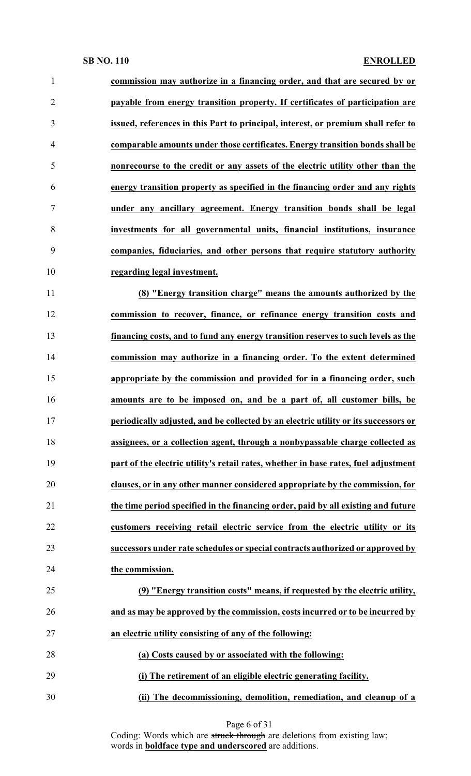| 1              | commission may authorize in a financing order, and that are secured by or           |
|----------------|-------------------------------------------------------------------------------------|
| $\overline{2}$ | payable from energy transition property. If certificates of participation are       |
| 3              | issued, references in this Part to principal, interest, or premium shall refer to   |
| $\overline{4}$ | comparable amounts under those certificates. Energy transition bonds shall be       |
| 5              | nonrecourse to the credit or any assets of the electric utility other than the      |
| 6              | energy transition property as specified in the financing order and any rights       |
| $\tau$         | under any ancillary agreement. Energy transition bonds shall be legal               |
| 8              | investments for all governmental units, financial institutions, insurance           |
| 9              | companies, fiduciaries, and other persons that require statutory authority          |
| 10             | regarding legal investment.                                                         |
| 11             | (8) "Energy transition charge" means the amounts authorized by the                  |
| 12             | commission to recover, finance, or refinance energy transition costs and            |
| 13             | financing costs, and to fund any energy transition reserves to such levels as the   |
| 14             | commission may authorize in a financing order. To the extent determined             |
| 15             | appropriate by the commission and provided for in a financing order, such           |
| 16             | amounts are to be imposed on, and be a part of, all customer bills, be              |
| 17             | periodically adjusted, and be collected by an electric utility or its successors or |
| 18             | assignees, or a collection agent, through a nonbypassable charge collected as       |
| 19             | part of the electric utility's retail rates, whether in base rates, fuel adjustment |
| 20             | clauses, or in any other manner considered appropriate by the commission, for       |
| 21             | the time period specified in the financing order, paid by all existing and future   |
| 22             | customers receiving retail electric service from the electric utility or its        |
| 23             | successors under rate schedules or special contracts authorized or approved by      |
| 24             | the commission.                                                                     |
| 25             | (9) "Energy transition costs" means, if requested by the electric utility,          |
| 26             | and as may be approved by the commission, costs incurred or to be incurred by       |
| 27             | an electric utility consisting of any of the following:                             |
| 28             | (a) Costs caused by or associated with the following:                               |
| 29             | (i) The retirement of an eligible electric generating facility.                     |
| 30             | (ii) The decommissioning, demolition, remediation, and cleanup of a                 |

Page 6 of 31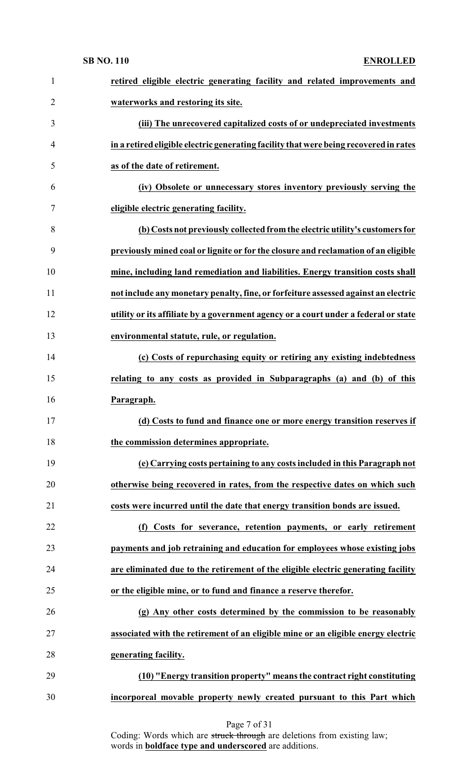| $\mathbf{1}$   | retired eligible electric generating facility and related improvements and            |
|----------------|---------------------------------------------------------------------------------------|
| $\overline{2}$ | waterworks and restoring its site.                                                    |
| 3              | (iii) The unrecovered capitalized costs of or undepreciated investments               |
| $\overline{4}$ | in a retired eligible electric generating facility that were being recovered in rates |
| 5              | as of the date of retirement.                                                         |
| 6              | (iv) Obsolete or unnecessary stores inventory previously serving the                  |
| 7              | eligible electric generating facility.                                                |
| 8              | (b) Costs not previously collected from the electric utility's customers for          |
| 9              | previously mined coal or lignite or for the closure and reclamation of an eligible    |
| 10             | mine, including land remediation and liabilities. Energy transition costs shall       |
| 11             | not include any monetary penalty, fine, or forfeiture assessed against an electric    |
| 12             | utility or its affiliate by a government agency or a court under a federal or state   |
| 13             | environmental statute, rule, or regulation.                                           |
| 14             | (c) Costs of repurchasing equity or retiring any existing indebtedness                |
| 15             | relating to any costs as provided in Subparagraphs (a) and (b) of this                |
| 16             | Paragraph.                                                                            |
| 17             | (d) Costs to fund and finance one or more energy transition reserves if               |
| 18             | the commission determines appropriate.                                                |
| 19             | (e) Carrying costs pertaining to any costs included in this Paragraph not             |
| 20             | otherwise being recovered in rates, from the respective dates on which such           |
| 21             | costs were incurred until the date that energy transition bonds are issued.           |
| 22             | Costs for severance, retention payments, or early retirement<br>(f)                   |
| 23             | payments and job retraining and education for employees whose existing jobs           |
| 24             | are eliminated due to the retirement of the eligible electric generating facility     |
| 25             | or the eligible mine, or to fund and finance a reserve therefor.                      |
| 26             | (g) Any other costs determined by the commission to be reasonably                     |
| 27             | associated with the retirement of an eligible mine or an eligible energy electric     |
| 28             | generating facility.                                                                  |
| 29             | (10) "Energy transition property" means the contract right constituting               |
| 30             | incorporeal movable property newly created pursuant to this Part which                |
|                |                                                                                       |

Page 7 of 31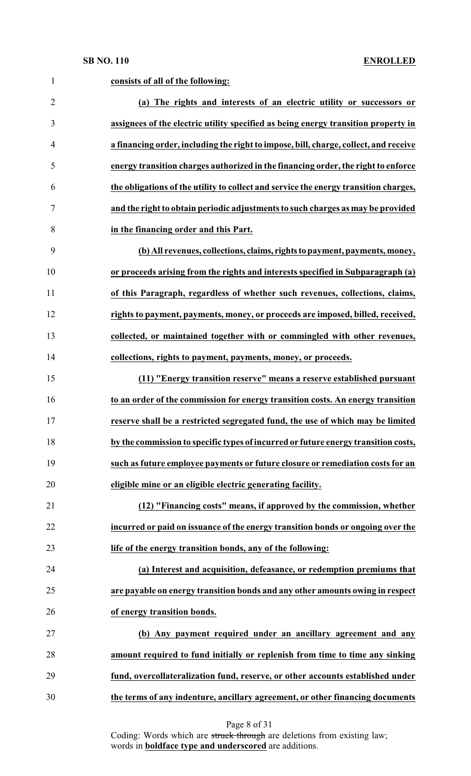| $\mathbf{1}$   | consists of all of the following:                                                    |
|----------------|--------------------------------------------------------------------------------------|
| $\overline{2}$ | (a) The rights and interests of an electric utility or successors or                 |
| 3              | assignees of the electric utility specified as being energy transition property in   |
| $\overline{4}$ | a financing order, including the right to impose, bill, charge, collect, and receive |
| 5              | energy transition charges authorized in the financing order, the right to enforce    |
| 6              | the obligations of the utility to collect and service the energy transition charges, |
| 7              | and the right to obtain periodic adjustments to such charges as may be provided      |
| 8              | in the financing order and this Part.                                                |
| 9              | (b) All revenues, collections, claims, rights to payment, payments, money,           |
| 10             | or proceeds arising from the rights and interests specified in Subparagraph (a)      |
| 11             | of this Paragraph, regardless of whether such revenues, collections, claims,         |
| 12             | rights to payment, payments, money, or proceeds are imposed, billed, received,       |
| 13             | collected, or maintained together with or commingled with other revenues,            |
| 14             | collections, rights to payment, payments, money, or proceeds.                        |
| 15             | (11) "Energy transition reserve" means a reserve established pursuant                |
| 16             | to an order of the commission for energy transition costs. An energy transition      |
| 17             | reserve shall be a restricted segregated fund, the use of which may be limited       |
| 18             | by the commission to specific types of incurred or future energy transition costs,   |
| 19             | such as future employee payments or future closure or remediation costs for an       |
| 20             | eligible mine or an eligible electric generating facility.                           |
| 21             | (12) "Financing costs" means, if approved by the commission, whether                 |
| 22             | incurred or paid on issuance of the energy transition bonds or ongoing over the      |
| 23             | life of the energy transition bonds, any of the following:                           |
| 24             | (a) Interest and acquisition, defeasance, or redemption premiums that                |
| 25             | are payable on energy transition bonds and any other amounts owing in respect        |
| 26             | of energy transition bonds.                                                          |
| 27             | (b) Any payment required under an ancillary agreement and any                        |
| 28             | amount required to fund initially or replenish from time to time any sinking         |
| 29             | fund, overcollateralization fund, reserve, or other accounts established under       |
| 30             | the terms of any indenture, ancillary agreement, or other financing documents        |

Page 8 of 31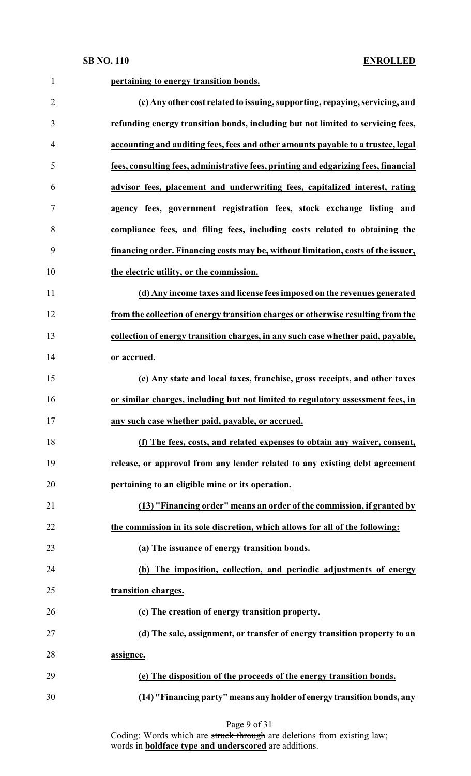| $\mathbf{1}$   | pertaining to energy transition bonds.                                              |
|----------------|-------------------------------------------------------------------------------------|
| $\overline{2}$ | (c) Any other cost related to issuing, supporting, repaying, servicing, and         |
| 3              | refunding energy transition bonds, including but not limited to servicing fees,     |
| 4              | accounting and auditing fees, fees and other amounts payable to a trustee, legal    |
| 5              | fees, consulting fees, administrative fees, printing and edgarizing fees, financial |
| 6              | advisor fees, placement and underwriting fees, capitalized interest, rating         |
| 7              | agency fees, government registration fees, stock exchange listing and               |
| 8              | compliance fees, and filing fees, including costs related to obtaining the          |
| 9              | financing order. Financing costs may be, without limitation, costs of the issuer,   |
| 10             | the electric utility, or the commission.                                            |
| 11             | (d) Any income taxes and license fees imposed on the revenues generated             |
| 12             | from the collection of energy transition charges or otherwise resulting from the    |
| 13             | collection of energy transition charges, in any such case whether paid, payable,    |
| 14             | or accrued.                                                                         |
| 15             | (e) Any state and local taxes, franchise, gross receipts, and other taxes           |
| 16             | or similar charges, including but not limited to regulatory assessment fees, in     |
| 17             | any such case whether paid, payable, or accrued.                                    |
| 18             | (f) The fees, costs, and related expenses to obtain any waiver, consent,            |
| 19             | release, or approval from any lender related to any existing debt agreement         |
| 20             | pertaining to an eligible mine or its operation.                                    |
| 21             | (13) "Financing order" means an order of the commission, if granted by              |
| 22             | the commission in its sole discretion, which allows for all of the following:       |
| 23             | (a) The issuance of energy transition bonds.                                        |
| 24             | (b) The imposition, collection, and periodic adjustments of energy                  |
| 25             | transition charges.                                                                 |
| 26             | (c) The creation of energy transition property.                                     |
| 27             | (d) The sale, assignment, or transfer of energy transition property to an           |
| 28             | assignee.                                                                           |
| 29             | (e) The disposition of the proceeds of the energy transition bonds.                 |
| 30             | (14) "Financing party" means any holder of energy transition bonds, any             |

Page 9 of 31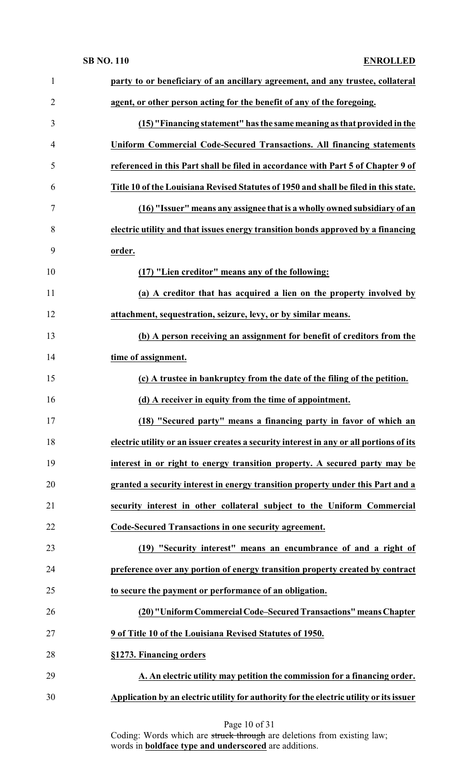| $\mathbf{1}$   | party to or beneficiary of an ancillary agreement, and any trustee, collateral          |
|----------------|-----------------------------------------------------------------------------------------|
| $\overline{2}$ | agent, or other person acting for the benefit of any of the foregoing.                  |
| 3              | (15) "Financing statement" has the same meaning as that provided in the                 |
| 4              | <b>Uniform Commercial Code-Secured Transactions. All financing statements</b>           |
| 5              | referenced in this Part shall be filed in accordance with Part 5 of Chapter 9 of        |
| 6              | Title 10 of the Louisiana Revised Statutes of 1950 and shall be filed in this state.    |
| 7              | (16) "Issuer" means any assignee that is a wholly owned subsidiary of an                |
| 8              | electric utility and that issues energy transition bonds approved by a financing        |
| 9              | order.                                                                                  |
| 10             | (17) "Lien creditor" means any of the following:                                        |
| 11             | (a) A creditor that has acquired a lien on the property involved by                     |
| 12             | attachment, sequestration, seizure, levy, or by similar means.                          |
| 13             | (b) A person receiving an assignment for benefit of creditors from the                  |
| 14             | time of assignment.                                                                     |
| 15             | (c) A trustee in bankruptcy from the date of the filing of the petition.                |
| 16             | (d) A receiver in equity from the time of appointment.                                  |
| 17             | (18) "Secured party" means a financing party in favor of which an                       |
| 18             | electric utility or an issuer creates a security interest in any or all portions of its |
| 19             | interest in or right to energy transition property. A secured party may be              |
| 20             | granted a security interest in energy transition property under this Part and a         |
| 21             | security interest in other collateral subject to the Uniform Commercial                 |
| 22             | Code-Secured Transactions in one security agreement.                                    |
| 23             | (19) "Security interest" means an encumbrance of and a right of                         |
| 24             | preference over any portion of energy transition property created by contract           |
| 25             | to secure the payment or performance of an obligation.                                  |
| 26             | (20) "Uniform Commercial Code-Secured Transactions" means Chapter                       |
| 27             | 9 of Title 10 of the Louisiana Revised Statutes of 1950.                                |
| 28             | §1273. Financing orders                                                                 |
| 29             | A. An electric utility may petition the commission for a financing order.               |
| 30             | Application by an electric utility for authority for the electric utility or its issuer |
|                |                                                                                         |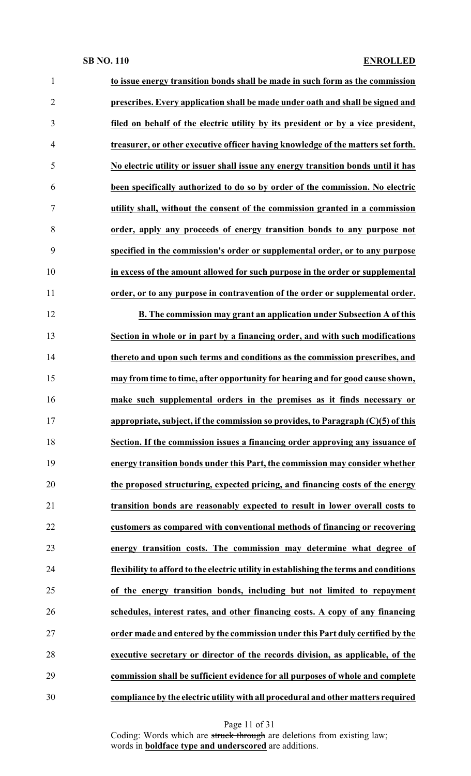| $\mathbf{1}$   | to issue energy transition bonds shall be made in such form as the commission          |
|----------------|----------------------------------------------------------------------------------------|
| $\overline{2}$ | prescribes. Every application shall be made under oath and shall be signed and         |
| 3              | filed on behalf of the electric utility by its president or by a vice president,       |
| $\overline{4}$ | treasurer, or other executive officer having knowledge of the matters set forth.       |
| 5              | No electric utility or issuer shall issue any energy transition bonds until it has     |
| 6              | been specifically authorized to do so by order of the commission. No electric          |
| $\tau$         | utility shall, without the consent of the commission granted in a commission           |
| 8              | order, apply any proceeds of energy transition bonds to any purpose not                |
| 9              | specified in the commission's order or supplemental order, or to any purpose           |
| 10             | in excess of the amount allowed for such purpose in the order or supplemental          |
| 11             | order, or to any purpose in contravention of the order or supplemental order.          |
| 12             | B. The commission may grant an application under Subsection A of this                  |
| 13             | Section in whole or in part by a financing order, and with such modifications          |
| 14             | thereto and upon such terms and conditions as the commission prescribes, and           |
| 15             | may from time to time, after opportunity for hearing and for good cause shown,         |
| 16             | make such supplemental orders in the premises as it finds necessary or                 |
| 17             | appropriate, subject, if the commission so provides, to Paragraph (C)(5) of this       |
| 18             | Section. If the commission issues a financing order approving any issuance of          |
| 19             | energy transition bonds under this Part, the commission may consider whether           |
| 20             | the proposed structuring, expected pricing, and financing costs of the energy          |
| 21             | transition bonds are reasonably expected to result in lower overall costs to           |
| 22             | customers as compared with conventional methods of financing or recovering             |
| 23             | energy transition costs. The commission may determine what degree of                   |
| 24             | flexibility to afford to the electric utility in establishing the terms and conditions |
| 25             | of the energy transition bonds, including but not limited to repayment                 |
| 26             | schedules, interest rates, and other financing costs. A copy of any financing          |
| 27             | order made and entered by the commission under this Part duly certified by the         |
| 28             | executive secretary or director of the records division, as applicable, of the         |
| 29             | commission shall be sufficient evidence for all purposes of whole and complete         |
| 30             | compliance by the electric utility with all procedural and other matters required      |

Page 11 of 31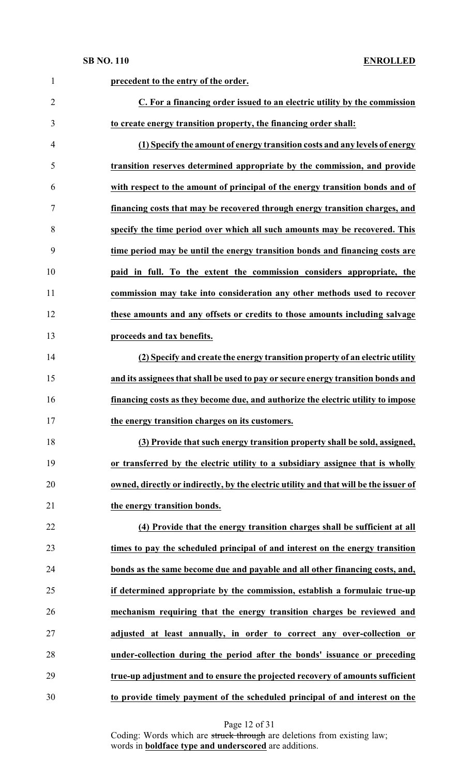| $\mathbf{1}$   | precedent to the entry of the order.                                                  |
|----------------|---------------------------------------------------------------------------------------|
| $\overline{2}$ | C. For a financing order issued to an electric utility by the commission              |
| 3              | to create energy transition property, the financing order shall:                      |
| $\overline{4}$ | (1) Specify the amount of energy transition costs and any levels of energy            |
| 5              | transition reserves determined appropriate by the commission, and provide             |
| 6              | with respect to the amount of principal of the energy transition bonds and of         |
| 7              | financing costs that may be recovered through energy transition charges, and          |
| 8              | specify the time period over which all such amounts may be recovered. This            |
| 9              | time period may be until the energy transition bonds and financing costs are          |
| 10             | paid in full. To the extent the commission considers appropriate, the                 |
| 11             | commission may take into consideration any other methods used to recover              |
| 12             | these amounts and any offsets or credits to those amounts including salvage           |
| 13             | proceeds and tax benefits.                                                            |
| 14             | (2) Specify and create the energy transition property of an electric utility          |
| 15             | and its assignees that shall be used to pay or secure energy transition bonds and     |
| 16             | financing costs as they become due, and authorize the electric utility to impose      |
| 17             | the energy transition charges on its customers.                                       |
| 18             | (3) Provide that such energy transition property shall be sold, assigned,             |
| 19             | or transferred by the electric utility to a subsidiary assignee that is wholly        |
| 20             | owned, directly or indirectly, by the electric utility and that will be the issuer of |
| 21             | the energy transition bonds.                                                          |
| 22             | (4) Provide that the energy transition charges shall be sufficient at all             |
| 23             | times to pay the scheduled principal of and interest on the energy transition         |
| 24             | bonds as the same become due and payable and all other financing costs, and,          |
| 25             | if determined appropriate by the commission, establish a formulaic true-up            |
| 26             | mechanism requiring that the energy transition charges be reviewed and                |
| 27             | adjusted at least annually, in order to correct any over-collection or                |
| 28             | under-collection during the period after the bonds' issuance or preceding             |
| 29             | true-up adjustment and to ensure the projected recovery of amounts sufficient         |
| 30             | to provide timely payment of the scheduled principal of and interest on the           |

Page 12 of 31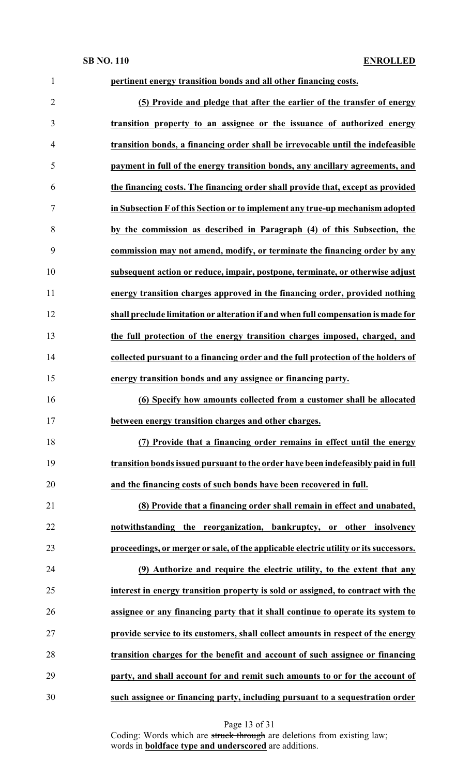| $\mathbf{1}$   | pertinent energy transition bonds and all other financing costs.                      |
|----------------|---------------------------------------------------------------------------------------|
| $\overline{2}$ | (5) Provide and pledge that after the earlier of the transfer of energy               |
| 3              | transition property to an assignee or the issuance of authorized energy               |
| 4              | transition bonds, a financing order shall be irrevocable until the indefeasible       |
| 5              | payment in full of the energy transition bonds, any ancillary agreements, and         |
| 6              | the financing costs. The financing order shall provide that, except as provided       |
| 7              | in Subsection F of this Section or to implement any true-up mechanism adopted         |
| 8              | by the commission as described in Paragraph (4) of this Subsection, the               |
| 9              | commission may not amend, modify, or terminate the financing order by any             |
| 10             | subsequent action or reduce, impair, postpone, terminate, or otherwise adjust         |
| 11             | energy transition charges approved in the financing order, provided nothing           |
| 12             | shall preclude limitation or alteration if and when full compensation is made for     |
| 13             | the full protection of the energy transition charges imposed, charged, and            |
| 14             | collected pursuant to a financing order and the full protection of the holders of     |
| 15             | energy transition bonds and any assignee or financing party.                          |
| 16             | (6) Specify how amounts collected from a customer shall be allocated                  |
| 17             | between energy transition charges and other charges.                                  |
| 18             | (7) Provide that a financing order remains in effect until the energy                 |
| 19             | transition bonds issued pursuant to the order have been indefeasibly paid in full     |
| 20             | and the financing costs of such bonds have been recovered in full.                    |
| 21             | (8) Provide that a financing order shall remain in effect and unabated,               |
| 22             | notwithstanding the reorganization, bankruptcy, or other insolvency                   |
| 23             | proceedings, or merger or sale, of the applicable electric utility or its successors. |
| 24             | (9) Authorize and require the electric utility, to the extent that any                |
| 25             | interest in energy transition property is sold or assigned, to contract with the      |
| 26             | assignee or any financing party that it shall continue to operate its system to       |
| 27             | provide service to its customers, shall collect amounts in respect of the energy      |
| 28             | transition charges for the benefit and account of such assignee or financing          |
| 29             | party, and shall account for and remit such amounts to or for the account of          |
| 30             | such assignee or financing party, including pursuant to a sequestration order         |

Page 13 of 31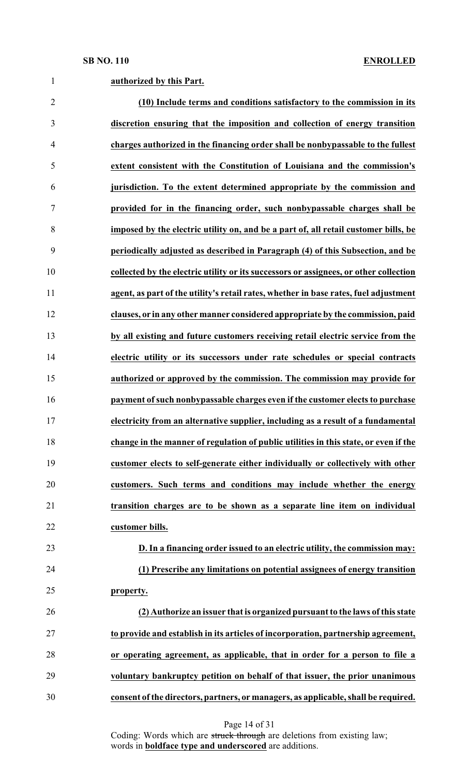| $\mathbf{1}$   | authorized by this Part.                                                              |
|----------------|---------------------------------------------------------------------------------------|
| $\overline{2}$ | (10) Include terms and conditions satisfactory to the commission in its               |
| 3              | discretion ensuring that the imposition and collection of energy transition           |
| 4              | charges authorized in the financing order shall be nonbypassable to the fullest       |
| 5              | extent consistent with the Constitution of Louisiana and the commission's             |
| 6              | jurisdiction. To the extent determined appropriate by the commission and              |
| 7              | provided for in the financing order, such nonbypassable charges shall be              |
| 8              | imposed by the electric utility on, and be a part of, all retail customer bills, be   |
| 9              | periodically adjusted as described in Paragraph (4) of this Subsection, and be        |
| 10             | collected by the electric utility or its successors or assignees, or other collection |
| 11             | agent, as part of the utility's retail rates, whether in base rates, fuel adjustment  |
| 12             | clauses, or in any other manner considered appropriate by the commission, paid        |
| 13             | by all existing and future customers receiving retail electric service from the       |
| 14             | electric utility or its successors under rate schedules or special contracts          |
| 15             | authorized or approved by the commission. The commission may provide for              |
| 16             | payment of such nonbypassable charges even if the customer elects to purchase         |
| 17             | electricity from an alternative supplier, including as a result of a fundamental      |
| 18             | change in the manner of regulation of public utilities in this state, or even if the  |
| 19             | customer elects to self-generate either individually or collectively with other       |
| 20             | customers. Such terms and conditions may include whether the energy                   |
| 21             | transition charges are to be shown as a separate line item on individual              |
| 22             | customer bills.                                                                       |
| 23             | D. In a financing order issued to an electric utility, the commission may:            |
| 24             | (1) Prescribe any limitations on potential assignees of energy transition             |
| 25             | property.                                                                             |
| 26             | (2) Authorize an issuer that is organized pursuant to the laws of this state          |
| 27             | to provide and establish in its articles of incorporation, partnership agreement,     |
| 28             | or operating agreement, as applicable, that in order for a person to file a           |
| 29             | voluntary bankruptcy petition on behalf of that issuer, the prior unanimous           |
| 30             | consent of the directors, partners, or managers, as applicable, shall be required.    |

Page 14 of 31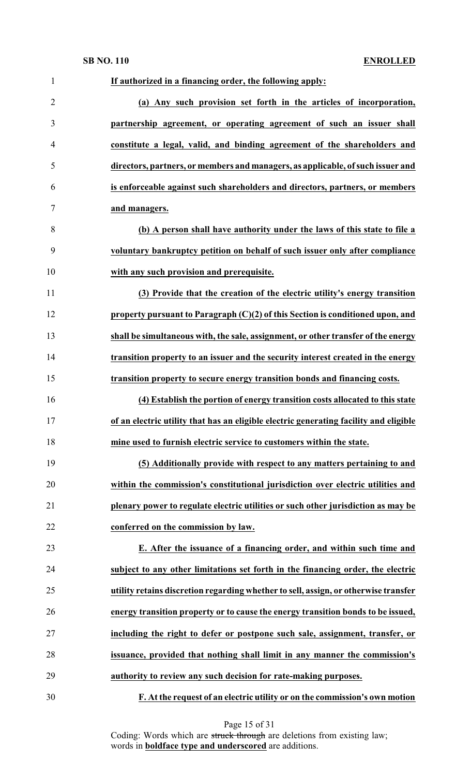| $\mathbf{1}$   | If authorized in a financing order, the following apply:                              |
|----------------|---------------------------------------------------------------------------------------|
| $\overline{2}$ | (a) Any such provision set forth in the articles of incorporation,                    |
| 3              | partnership agreement, or operating agreement of such an issuer shall                 |
| 4              | constitute a legal, valid, and binding agreement of the shareholders and              |
| 5              | directors, partners, or members and managers, as applicable, of such issuer and       |
| 6              | is enforceable against such shareholders and directors, partners, or members          |
| 7              | and managers.                                                                         |
| 8              | (b) A person shall have authority under the laws of this state to file a              |
| 9              | voluntary bankruptcy petition on behalf of such issuer only after compliance          |
| 10             | with any such provision and prerequisite.                                             |
| 11             | (3) Provide that the creation of the electric utility's energy transition             |
| 12             | property pursuant to Paragraph $(C)(2)$ of this Section is conditioned upon, and      |
| 13             | shall be simultaneous with, the sale, assignment, or other transfer of the energy     |
| 14             | transition property to an issuer and the security interest created in the energy      |
| 15             | transition property to secure energy transition bonds and financing costs.            |
| 16             | (4) Establish the portion of energy transition costs allocated to this state          |
| 17             | of an electric utility that has an eligible electric generating facility and eligible |
| 18             | mine used to furnish electric service to customers within the state.                  |
| 19             | (5) Additionally provide with respect to any matters pertaining to and                |
| 20             | within the commission's constitutional jurisdiction over electric utilities and       |
| 21             | plenary power to regulate electric utilities or such other jurisdiction as may be     |
| 22             | conferred on the commission by law.                                                   |
| 23             | E. After the issuance of a financing order, and within such time and                  |
| 24             | subject to any other limitations set forth in the financing order, the electric       |
| 25             | utility retains discretion regarding whether to sell, assign, or otherwise transfer   |
| 26             | energy transition property or to cause the energy transition bonds to be issued,      |
| 27             | including the right to defer or postpone such sale, assignment, transfer, or          |
| 28             | issuance, provided that nothing shall limit in any manner the commission's            |
| 29             | authority to review any such decision for rate-making purposes.                       |
| 30             | F. At the request of an electric utility or on the commission's own motion            |

Page 15 of 31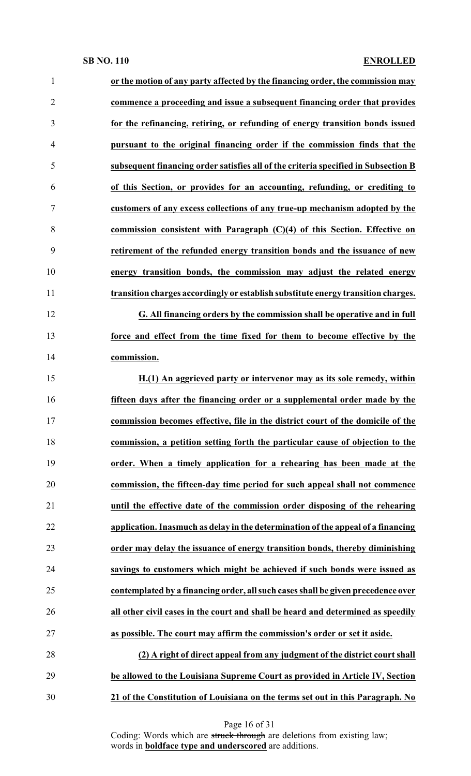| 1              | or the motion of any party affected by the financing order, the commission may     |
|----------------|------------------------------------------------------------------------------------|
| $\overline{2}$ | commence a proceeding and issue a subsequent financing order that provides         |
| 3              | for the refinancing, retiring, or refunding of energy transition bonds issued      |
| $\overline{4}$ | pursuant to the original financing order if the commission finds that the          |
| 5              | subsequent financing order satisfies all of the criteria specified in Subsection B |
| 6              | of this Section, or provides for an accounting, refunding, or crediting to         |
| $\tau$         | customers of any excess collections of any true-up mechanism adopted by the        |
| 8              | commission consistent with Paragraph $(C)(4)$ of this Section. Effective on        |
| 9              | retirement of the refunded energy transition bonds and the issuance of new         |
| 10             | energy transition bonds, the commission may adjust the related energy              |
| 11             | transition charges accordingly or establish substitute energy transition charges.  |
| 12             | G. All financing orders by the commission shall be operative and in full           |
| 13             | force and effect from the time fixed for them to become effective by the           |
| 14             | commission.                                                                        |
| 15             | H.(1) An aggrieved party or intervenor may as its sole remedy, within              |
| 16             | fifteen days after the financing order or a supplemental order made by the         |
| 17             | commission becomes effective, file in the district court of the domicile of the    |
| 18             | commission, a petition setting forth the particular cause of objection to the      |
| 19             | order. When a timely application for a rehearing has been made at the              |
| 20             | commission, the fifteen-day time period for such appeal shall not commence         |
| 21             | until the effective date of the commission order disposing of the rehearing        |
| 22             | application. Inasmuch as delay in the determination of the appeal of a financing   |
| 23             | order may delay the issuance of energy transition bonds, thereby diminishing       |
| 24             | savings to customers which might be achieved if such bonds were issued as          |
| 25             | contemplated by a financing order, all such cases shall be given precedence over   |
| 26             | all other civil cases in the court and shall be heard and determined as speedily   |
| 27             | as possible. The court may affirm the commission's order or set it aside.          |
| 28             | (2) A right of direct appeal from any judgment of the district court shall         |
| 29             | be allowed to the Louisiana Supreme Court as provided in Article IV, Section       |
| 30             | 21 of the Constitution of Louisiana on the terms set out in this Paragraph. No     |

Page 16 of 31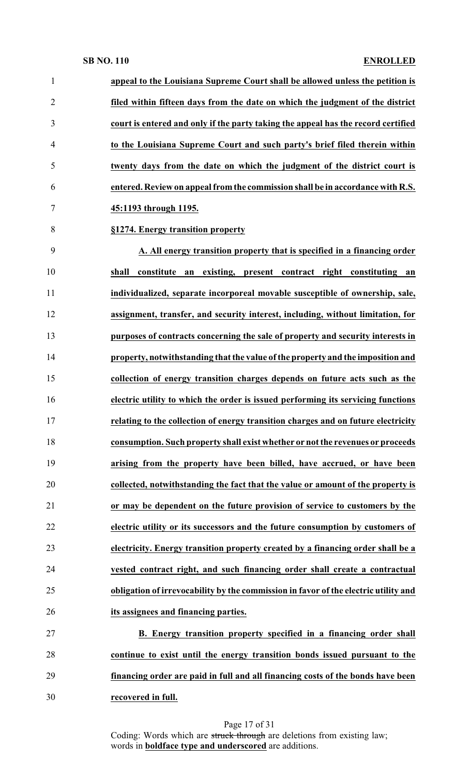| $\mathbf{1}$   | appeal to the Louisiana Supreme Court shall be allowed unless the petition is       |
|----------------|-------------------------------------------------------------------------------------|
| $\overline{2}$ | filed within fifteen days from the date on which the judgment of the district       |
| 3              | court is entered and only if the party taking the appeal has the record certified   |
| $\overline{4}$ | to the Louisiana Supreme Court and such party's brief filed therein within          |
| 5              | twenty days from the date on which the judgment of the district court is            |
| 6              | entered. Review on appeal from the commission shall be in accordance with R.S.      |
| 7              | 45:1193 through 1195.                                                               |
| 8              | §1274. Energy transition property                                                   |
| 9              | A. All energy transition property that is specified in a financing order            |
| 10             | constitute an existing, present contract right constituting<br>shall<br>an          |
| 11             | individualized, separate incorporeal movable susceptible of ownership, sale,        |
| 12             | assignment, transfer, and security interest, including, without limitation, for     |
| 13             | purposes of contracts concerning the sale of property and security interests in     |
| 14             | property, notwithstanding that the value of the property and the imposition and     |
| 15             | collection of energy transition charges depends on future acts such as the          |
| 16             | electric utility to which the order is issued performing its servicing functions    |
| 17             | relating to the collection of energy transition charges and on future electricity   |
| 18             | consumption. Such property shall exist whether or not the revenues or proceeds      |
| 19             | arising from the property have been billed, have accrued, or have been              |
| 20             | collected, notwithstanding the fact that the value or amount of the property is     |
| 21             | or may be dependent on the future provision of service to customers by the          |
| 22             | electric utility or its successors and the future consumption by customers of       |
| 23             | electricity. Energy transition property created by a financing order shall be a     |
| 24             | vested contract right, and such financing order shall create a contractual          |
| 25             | obligation of irrevocability by the commission in favor of the electric utility and |
| 26             | its assignees and financing parties.                                                |
| 27             | B. Energy transition property specified in a financing order shall                  |
| 28             | continue to exist until the energy transition bonds issued pursuant to the          |
| 29             | financing order are paid in full and all financing costs of the bonds have been     |
| 30             | recovered in full.                                                                  |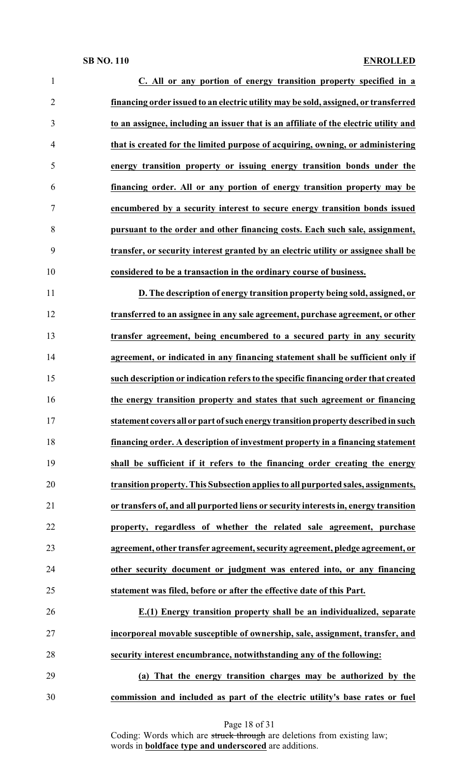| $\mathbf{1}$   | C. All or any portion of energy transition property specified in a                   |
|----------------|--------------------------------------------------------------------------------------|
| $\overline{2}$ | financing order issued to an electric utility may be sold, assigned, or transferred  |
| 3              | to an assignee, including an issuer that is an affiliate of the electric utility and |
| 4              | that is created for the limited purpose of acquiring, owning, or administering       |
| 5              | energy transition property or issuing energy transition bonds under the              |
| 6              | financing order. All or any portion of energy transition property may be             |
| 7              | encumbered by a security interest to secure energy transition bonds issued           |
| 8              | pursuant to the order and other financing costs. Each such sale, assignment,         |
| 9              | transfer, or security interest granted by an electric utility or assignee shall be   |
| 10             | considered to be a transaction in the ordinary course of business.                   |
| 11             | D. The description of energy transition property being sold, assigned, or            |
| 12             | transferred to an assignee in any sale agreement, purchase agreement, or other       |
| 13             | transfer agreement, being encumbered to a secured party in any security              |
| 14             | agreement, or indicated in any financing statement shall be sufficient only if       |
| 15             | such description or indication refers to the specific financing order that created   |
| 16             | the energy transition property and states that such agreement or financing           |
| 17             | statement covers all or part of such energy transition property described in such    |
| 18             | financing order. A description of investment property in a financing statement       |
| 19             | shall be sufficient if it refers to the financing order creating the energy          |
| 20             | transition property. This Subsection applies to all purported sales, assignments,    |
| 21             | or transfers of, and all purported liens or security interests in, energy transition |
| 22             | property, regardless of whether the related sale agreement, purchase                 |
| 23             | agreement, other transfer agreement, security agreement, pledge agreement, or        |
| 24             | other security document or judgment was entered into, or any financing               |
| 25             | statement was filed, before or after the effective date of this Part.                |
| 26             | E.(1) Energy transition property shall be an individualized, separate                |
| 27             | incorporeal movable susceptible of ownership, sale, assignment, transfer, and        |
| 28             | security interest encumbrance, notwithstanding any of the following:                 |
| 29             | (a) That the energy transition charges may be authorized by the                      |

**commission and included as part of the electric utility's base rates or fuel**

Page 18 of 31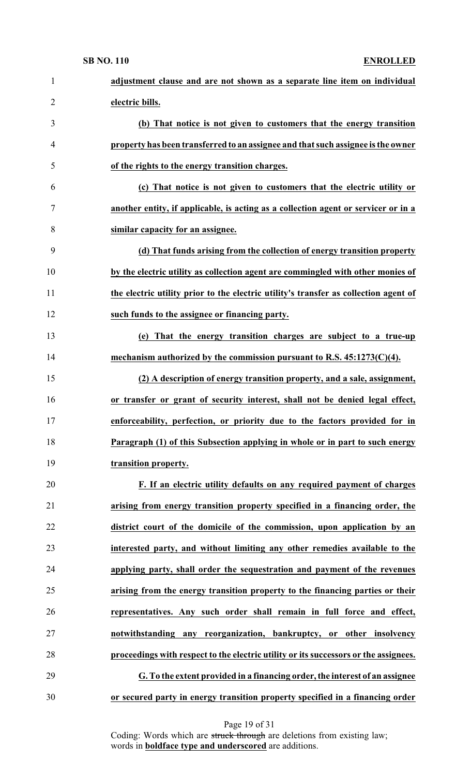| $\mathbf{1}$   | adjustment clause and are not shown as a separate line item on individual            |
|----------------|--------------------------------------------------------------------------------------|
| $\overline{2}$ | electric bills.                                                                      |
| 3              | (b) That notice is not given to customers that the energy transition                 |
| $\overline{4}$ | property has been transferred to an assignee and that such assignee is the owner     |
| 5              | of the rights to the energy transition charges.                                      |
| 6              | (c) That notice is not given to customers that the electric utility or               |
| $\tau$         | another entity, if applicable, is acting as a collection agent or servicer or in a   |
| 8              | similar capacity for an assignee.                                                    |
| 9              | (d) That funds arising from the collection of energy transition property             |
| 10             | by the electric utility as collection agent are commingled with other monies of      |
| 11             | the electric utility prior to the electric utility's transfer as collection agent of |
| 12             | such funds to the assignee or financing party.                                       |
| 13             | (e) That the energy transition charges are subject to a true-up                      |
| 14             | mechanism authorized by the commission pursuant to R.S. $45:1273(C)(4)$ .            |
| 15             | (2) A description of energy transition property, and a sale, assignment,             |
| 16             | or transfer or grant of security interest, shall not be denied legal effect,         |
| 17             | enforceability, perfection, or priority due to the factors provided for in           |
| 18             | Paragraph (1) of this Subsection applying in whole or in part to such energy         |
| 19             | transition property.                                                                 |
| 20             | F. If an electric utility defaults on any required payment of charges                |
| 21             | arising from energy transition property specified in a financing order, the          |
| 22             | district court of the domicile of the commission, upon application by an             |
| 23             | interested party, and without limiting any other remedies available to the           |
| 24             | applying party, shall order the sequestration and payment of the revenues            |
| 25             | arising from the energy transition property to the financing parties or their        |
| 26             | representatives. Any such order shall remain in full force and effect,               |
| 27             | notwithstanding any reorganization, bankruptcy, or other insolvency                  |
| 28             | proceedings with respect to the electric utility or its successors or the assignees. |
| 29             | G. To the extent provided in a financing order, the interest of an assignee          |
| 30             | or secured party in energy transition property specified in a financing order        |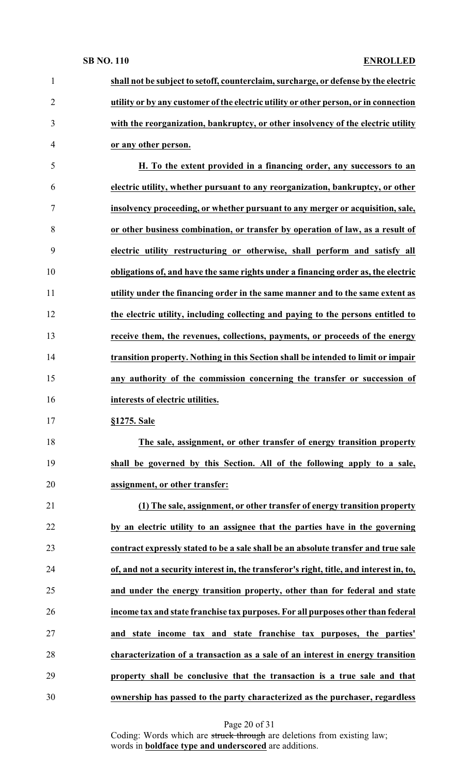| $\mathbf{1}$   | shall not be subject to setoff, counterclaim, surcharge, or defense by the electric     |
|----------------|-----------------------------------------------------------------------------------------|
| $\overline{2}$ | utility or by any customer of the electric utility or other person, or in connection    |
| 3              | with the reorganization, bankruptcy, or other insolvency of the electric utility        |
| $\overline{4}$ | or any other person.                                                                    |
| 5              | H. To the extent provided in a financing order, any successors to an                    |
| 6              | electric utility, whether pursuant to any reorganization, bankruptcy, or other          |
| 7              | insolvency proceeding, or whether pursuant to any merger or acquisition, sale,          |
| 8              | or other business combination, or transfer by operation of law, as a result of          |
| 9              | electric utility restructuring or otherwise, shall perform and satisfy all              |
| 10             | obligations of, and have the same rights under a financing order as, the electric       |
| 11             | utility under the financing order in the same manner and to the same extent as          |
| 12             | the electric utility, including collecting and paying to the persons entitled to        |
| 13             | receive them, the revenues, collections, payments, or proceeds of the energy            |
| 14             | transition property. Nothing in this Section shall be intended to limit or impair       |
| 15             | any authority of the commission concerning the transfer or succession of                |
| 16             | interests of electric utilities.                                                        |
| 17             | §1275. Sale                                                                             |
| 18             | The sale, assignment, or other transfer of energy transition property                   |
| 19             | shall be governed by this Section. All of the following apply to a sale,                |
| 20             | assignment, or other transfer:                                                          |
| 21             | (1) The sale, assignment, or other transfer of energy transition property               |
| 22             | by an electric utility to an assignee that the parties have in the governing            |
| 23             | contract expressly stated to be a sale shall be an absolute transfer and true sale      |
| 24             | of, and not a security interest in, the transferor's right, title, and interest in, to, |
| 25             | and under the energy transition property, other than for federal and state              |
| 26             | income tax and state franchise tax purposes. For all purposes other than federal        |
| 27             | and state income tax and state franchise tax purposes, the parties'                     |
| 28             | characterization of a transaction as a sale of an interest in energy transition         |
| 29             | property shall be conclusive that the transaction is a true sale and that               |
|                | ownership has passed to the party characterized as the purchaser, regardless            |

Page 20 of 31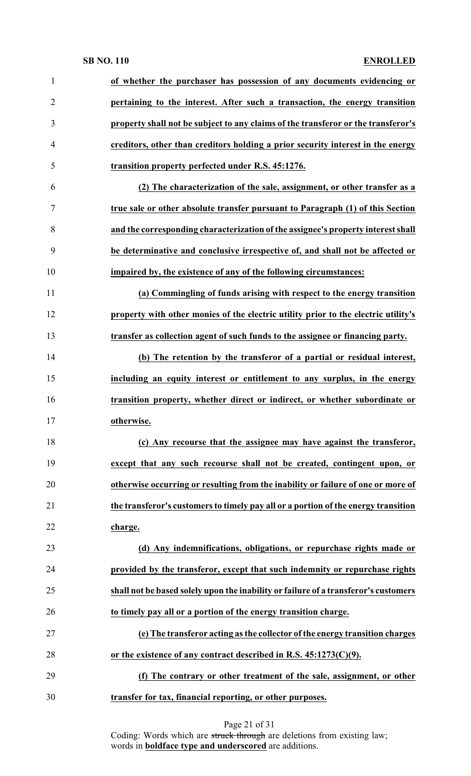| $\mathbf{1}$   | of whether the purchaser has possession of any documents evidencing or              |
|----------------|-------------------------------------------------------------------------------------|
| $\overline{2}$ | pertaining to the interest. After such a transaction, the energy transition         |
| 3              | property shall not be subject to any claims of the transferor or the transferor's   |
| $\overline{4}$ | creditors, other than creditors holding a prior security interest in the energy     |
| 5              | transition property perfected under R.S. 45:1276.                                   |
| 6              | (2) The characterization of the sale, assignment, or other transfer as a            |
| 7              | true sale or other absolute transfer pursuant to Paragraph (1) of this Section      |
| 8              | and the corresponding characterization of the assignee's property interest shall    |
| 9              | be determinative and conclusive irrespective of, and shall not be affected or       |
| 10             | impaired by, the existence of any of the following circumstances:                   |
| 11             | (a) Commingling of funds arising with respect to the energy transition              |
| 12             | property with other monies of the electric utility prior to the electric utility's  |
| 13             | transfer as collection agent of such funds to the assignee or financing party.      |
| 14             | (b) The retention by the transferor of a partial or residual interest,              |
| 15             | including an equity interest or entitlement to any surplus, in the energy           |
| 16             | transition property, whether direct or indirect, or whether subordinate or          |
| 17             | otherwise.                                                                          |
| 18             | (c) Any recourse that the assignee may have against the transferor,                 |
| 19             | except that any such recourse shall not be created, contingent upon, or             |
| 20             | otherwise occurring or resulting from the inability or failure of one or more of    |
| 21             | the transferor's customers to timely pay all or a portion of the energy transition  |
| 22             | charge.                                                                             |
| 23             | (d) Any indemnifications, obligations, or repurchase rights made or                 |
| 24             | provided by the transferor, except that such indemnity or repurchase rights         |
| 25             | shall not be based solely upon the inability or failure of a transferor's customers |
| 26             | to timely pay all or a portion of the energy transition charge.                     |
| 27             | (e) The transferor acting as the collector of the energy transition charges         |
| 28             | or the existence of any contract described in R.S. $45:1273(C)(9)$ .                |
| 29             | (f) The contrary or other treatment of the sale, assignment, or other               |
| 30             | transfer for tax, financial reporting, or other purposes.                           |
|                |                                                                                     |

| Page 21 of 31 |  |
|---------------|--|
|---------------|--|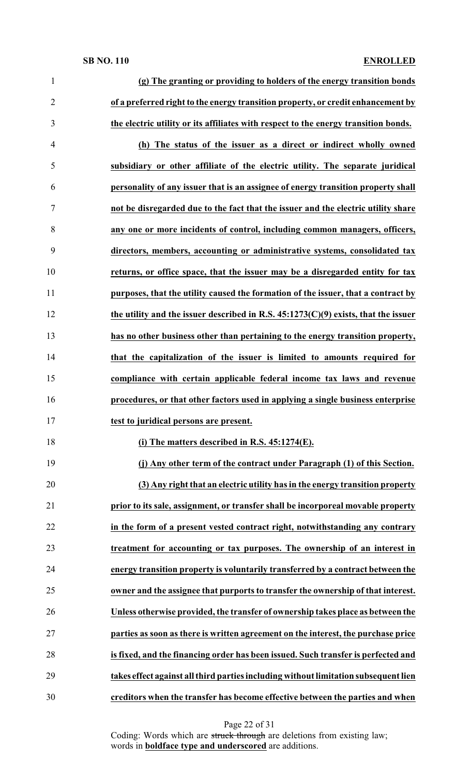| $\mathbf{1}$   | (g) The granting or providing to holders of the energy transition bonds              |
|----------------|--------------------------------------------------------------------------------------|
| $\overline{2}$ | of a preferred right to the energy transition property, or credit enhancement by     |
| 3              | the electric utility or its affiliates with respect to the energy transition bonds.  |
| 4              | (h) The status of the issuer as a direct or indirect wholly owned                    |
| 5              | subsidiary or other affiliate of the electric utility. The separate juridical        |
| 6              | personality of any issuer that is an assignee of energy transition property shall    |
| 7              | not be disregarded due to the fact that the issuer and the electric utility share    |
| 8              | any one or more incidents of control, including common managers, officers,           |
| 9              | directors, members, accounting or administrative systems, consolidated tax           |
| 10             | returns, or office space, that the issuer may be a disregarded entity for tax        |
| 11             | purposes, that the utility caused the formation of the issuer, that a contract by    |
| 12             | the utility and the issuer described in R.S. $45:1273(C)(9)$ exists, that the issuer |
| 13             | has no other business other than pertaining to the energy transition property,       |
| 14             | that the capitalization of the issuer is limited to amounts required for             |
| 15             | compliance with certain applicable federal income tax laws and revenue               |
|                |                                                                                      |
| 16             | procedures, or that other factors used in applying a single business enterprise      |
| 17             | test to juridical persons are present.                                               |
| 18             | (i) The matters described in R.S. $45:1274(E)$ .                                     |
| 19             | (j) Any other term of the contract under Paragraph (1) of this Section.              |
| 20             | (3) Any right that an electric utility has in the energy transition property         |
| 21             | prior to its sale, assignment, or transfer shall be incorporeal movable property     |
| 22             | in the form of a present vested contract right, notwithstanding any contrary         |
| 23             | treatment for accounting or tax purposes. The ownership of an interest in            |
| 24             | energy transition property is voluntarily transferred by a contract between the      |
| 25             | owner and the assignee that purports to transfer the ownership of that interest.     |
| 26             | Unless otherwise provided, the transfer of ownership takes place as between the      |
| 27             | parties as soon as there is written agreement on the interest, the purchase price    |
| 28             | is fixed, and the financing order has been issued. Such transfer is perfected and    |
| 29             | takes effect against all third parties including without limitation subsequent lien  |

Page 22 of 31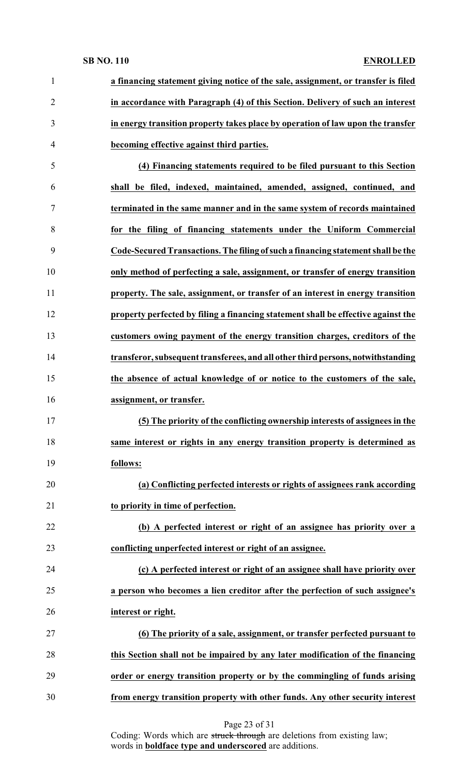|                                                                                                  | a financing statement giving notice of the sale, assignment, or transfer is filed |
|--------------------------------------------------------------------------------------------------|-----------------------------------------------------------------------------------|
| $\overline{2}$<br>in accordance with Paragraph (4) of this Section. Delivery of such an interest |                                                                                   |
| 3<br>in energy transition property takes place by operation of law upon the transfer             |                                                                                   |
| becoming effective against third parties.<br>$\overline{4}$                                      |                                                                                   |
| 5<br>(4) Financing statements required to be filed pursuant to this Section                      |                                                                                   |
| shall be filed, indexed, maintained, amended, assigned, continued, and<br>6                      |                                                                                   |
| $\tau$<br>terminated in the same manner and in the same system of records maintained             |                                                                                   |
| 8<br>for the filing of financing statements under the Uniform Commercial                         |                                                                                   |
| 9<br>Code-Secured Transactions. The filing of such a financing statement shall be the            |                                                                                   |
| 10<br>only method of perfecting a sale, assignment, or transfer of energy transition             |                                                                                   |
| 11<br>property. The sale, assignment, or transfer of an interest in energy transition            |                                                                                   |
| 12<br>property perfected by filing a financing statement shall be effective against the          |                                                                                   |
| 13<br>customers owing payment of the energy transition charges, creditors of the                 |                                                                                   |
| 14<br>transferor, subsequent transferees, and all other third persons, notwithstanding           |                                                                                   |
|                                                                                                  |                                                                                   |
| 15<br>the absence of actual knowledge of or notice to the customers of the sale,                 |                                                                                   |
| 16<br>assignment, or transfer.                                                                   |                                                                                   |
| 17<br>(5) The priority of the conflicting ownership interests of assignees in the                |                                                                                   |
| 18<br>same interest or rights in any energy transition property is determined as                 |                                                                                   |
| 19<br>follows:                                                                                   |                                                                                   |
| 20<br>(a) Conflicting perfected interests or rights of assignees rank according                  |                                                                                   |
| 21<br>to priority in time of perfection.                                                         |                                                                                   |
| 22<br>(b) A perfected interest or right of an assignee has priority over a                       |                                                                                   |
| 23<br>conflicting unperfected interest or right of an assignee.                                  |                                                                                   |
| 24<br>(c) A perfected interest or right of an assignee shall have priority over                  |                                                                                   |
| 25<br>a person who becomes a lien creditor after the perfection of such assignee's               |                                                                                   |
| 26<br>interest or right.                                                                         |                                                                                   |
| 27<br>(6) The priority of a sale, assignment, or transfer perfected pursuant to                  |                                                                                   |
| this Section shall not be impaired by any later modification of the financing<br>28              |                                                                                   |
| 29<br>order or energy transition property or by the commingling of funds arising                 |                                                                                   |

Page 23 of 31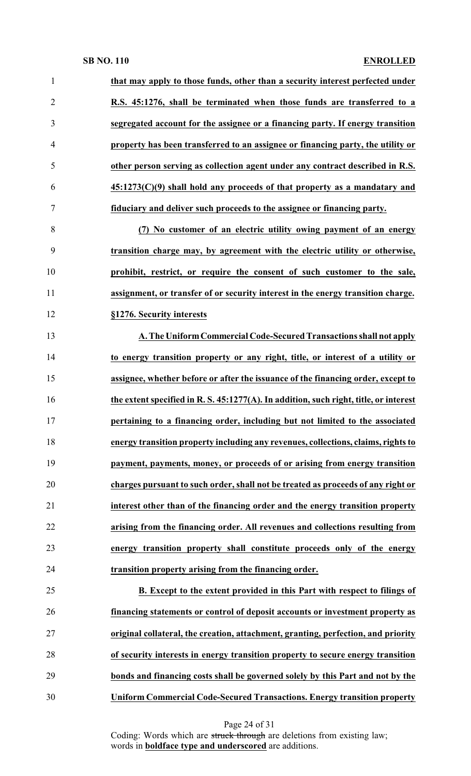| $\mathbf{1}$   | that may apply to those funds, other than a security interest perfected under         |
|----------------|---------------------------------------------------------------------------------------|
| $\overline{2}$ | R.S. 45:1276, shall be terminated when those funds are transferred to a               |
| 3              | segregated account for the assignee or a financing party. If energy transition        |
| $\overline{4}$ | property has been transferred to an assignee or financing party, the utility or       |
| 5              | other person serving as collection agent under any contract described in R.S.         |
| 6              | $45:1273(C)(9)$ shall hold any proceeds of that property as a mandatary and           |
| 7              | fiduciary and deliver such proceeds to the assignee or financing party.               |
| 8              | (7) No customer of an electric utility owing payment of an energy                     |
| 9              | transition charge may, by agreement with the electric utility or otherwise,           |
| 10             | prohibit, restrict, or require the consent of such customer to the sale,              |
| 11             | assignment, or transfer of or security interest in the energy transition charge.      |
| 12             | §1276. Security interests                                                             |
| 13             | A. The Uniform Commercial Code-Secured Transactions shall not apply                   |
| 14             | to energy transition property or any right, title, or interest of a utility or        |
| 15             | assignee, whether before or after the issuance of the financing order, except to      |
| 16             | the extent specified in R. S. 45:1277(A). In addition, such right, title, or interest |
| 17             | pertaining to a financing order, including but not limited to the associated          |
| 18             | energy transition property including any revenues, collections, claims, rights to     |
| 19             | payment, payments, money, or proceeds of or arising from energy transition            |
| 20             | charges pursuant to such order, shall not be treated as proceeds of any right or      |
| 21             | interest other than of the financing order and the energy transition property         |
| 22             | arising from the financing order. All revenues and collections resulting from         |
| 23             | energy transition property shall constitute proceeds only of the energy               |
| 24             | transition property arising from the financing order.                                 |
| 25             | B. Except to the extent provided in this Part with respect to filings of              |
| 26             | financing statements or control of deposit accounts or investment property as         |
| 27             | original collateral, the creation, attachment, granting, perfection, and priority     |
| 28             | of security interests in energy transition property to secure energy transition       |
| 29             | bonds and financing costs shall be governed solely by this Part and not by the        |
| 30             | <b>Uniform Commercial Code-Secured Transactions. Energy transition property</b>       |

Page 24 of 31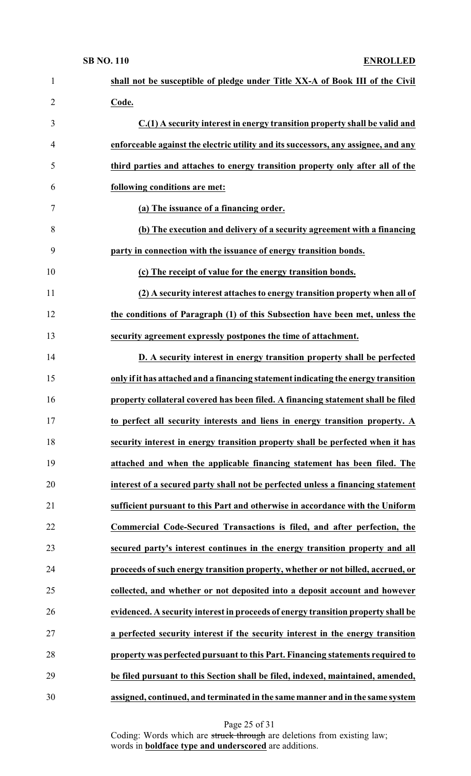| $\mathbf{1}$   | shall not be susceptible of pledge under Title XX-A of Book III of the Civil       |
|----------------|------------------------------------------------------------------------------------|
| $\overline{2}$ | Code.                                                                              |
| 3              | C.(1) A security interest in energy transition property shall be valid and         |
| 4              | enforceable against the electric utility and its successors, any assignee, and any |
| 5              | third parties and attaches to energy transition property only after all of the     |
| 6              | following conditions are met:                                                      |
| 7              | (a) The issuance of a financing order.                                             |
| 8              | (b) The execution and delivery of a security agreement with a financing            |
| 9              | party in connection with the issuance of energy transition bonds.                  |
| 10             | (c) The receipt of value for the energy transition bonds.                          |
| 11             | (2) A security interest attaches to energy transition property when all of         |
| 12             | the conditions of Paragraph (1) of this Subsection have been met, unless the       |
| 13             | security agreement expressly postpones the time of attachment.                     |
| 14             | D. A security interest in energy transition property shall be perfected            |
| 15             | only if it has attached and a financing statement indicating the energy transition |
| 16             | property collateral covered has been filed. A financing statement shall be filed   |
| 17             | to perfect all security interests and liens in energy transition property. A       |
| 18             | security interest in energy transition property shall be perfected when it has     |
| 19             | attached and when the applicable financing statement has been filed. The           |
| 20             | interest of a secured party shall not be perfected unless a financing statement    |
| 21             | sufficient pursuant to this Part and otherwise in accordance with the Uniform      |
| 22             | Commercial Code-Secured Transactions is filed, and after perfection, the           |
| 23             | secured party's interest continues in the energy transition property and all       |
| 24             | proceeds of such energy transition property, whether or not billed, accrued, or    |
| 25             | collected, and whether or not deposited into a deposit account and however         |
| 26             | evidenced. A security interest in proceeds of energy transition property shall be  |
| 27             | a perfected security interest if the security interest in the energy transition    |
| 28             | property was perfected pursuant to this Part. Financing statements required to     |
| 29             | be filed pursuant to this Section shall be filed, indexed, maintained, amended,    |
| 30             | assigned, continued, and terminated in the same manner and in the same system      |

Page 25 of 31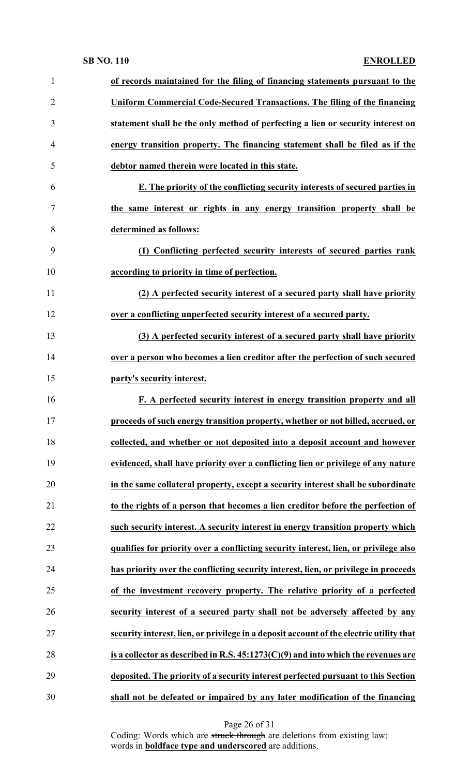| 1              | of records maintained for the filing of financing statements pursuant to the            |
|----------------|-----------------------------------------------------------------------------------------|
| $\overline{2}$ | Uniform Commercial Code-Secured Transactions. The filing of the financing               |
| 3              | statement shall be the only method of perfecting a lien or security interest on         |
| 4              | energy transition property. The financing statement shall be filed as if the            |
| 5              | debtor named therein were located in this state.                                        |
| 6              | E. The priority of the conflicting security interests of secured parties in             |
| 7              | the same interest or rights in any energy transition property shall be                  |
| 8              | determined as follows:                                                                  |
| 9              | (1) Conflicting perfected security interests of secured parties rank                    |
| 10             | according to priority in time of perfection.                                            |
| 11             | (2) A perfected security interest of a secured party shall have priority                |
| 12             | over a conflicting unperfected security interest of a secured party.                    |
| 13             | (3) A perfected security interest of a secured party shall have priority                |
| 14             | over a person who becomes a lien creditor after the perfection of such secured          |
| 15             | party's security interest.                                                              |
| 16             | F. A perfected security interest in energy transition property and all                  |
| 17             | proceeds of such energy transition property, whether or not billed, accrued, or         |
| 18             | collected, and whether or not deposited into a deposit account and however              |
| 19             | evidenced, shall have priority over a conflicting lien or privilege of any nature       |
| 20             | in the same collateral property, except a security interest shall be subordinate        |
| 21             | to the rights of a person that becomes a lien creditor before the perfection of         |
| 22             | such security interest. A security interest in energy transition property which         |
| 23             | qualifies for priority over a conflicting security interest, lien, or privilege also    |
| 24             | has priority over the conflicting security interest, lien, or privilege in proceeds     |
| 25             | of the investment recovery property. The relative priority of a perfected               |
| 26             | security interest of a secured party shall not be adversely affected by any             |
| 27             | security interest, lien, or privilege in a deposit account of the electric utility that |
| 28             | is a collector as described in R.S. 45:1273(C)(9) and into which the revenues are       |
| 29             | deposited. The priority of a security interest perfected pursuant to this Section       |
| 30             | shall not be defeated or impaired by any later modification of the financing            |

Page 26 of 31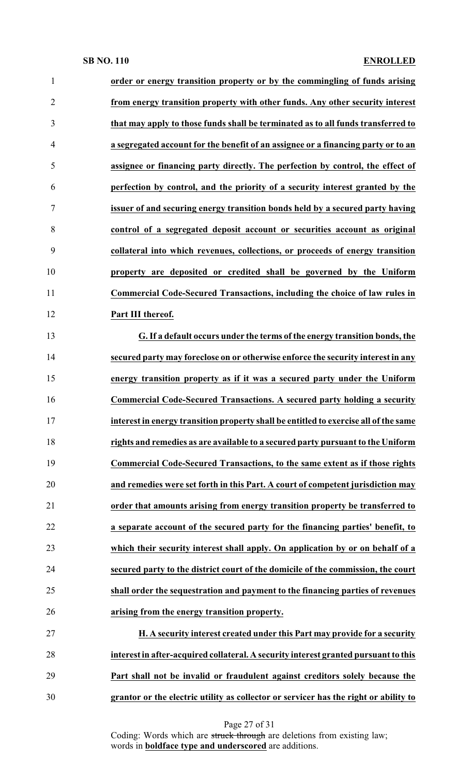| 1              | order or energy transition property or by the commingling of funds arising           |
|----------------|--------------------------------------------------------------------------------------|
| $\overline{2}$ | from energy transition property with other funds. Any other security interest        |
| 3              | that may apply to those funds shall be terminated as to all funds transferred to     |
| $\overline{4}$ | a segregated account for the benefit of an assignee or a financing party or to an    |
| 5              | assignee or financing party directly. The perfection by control, the effect of       |
| 6              | perfection by control, and the priority of a security interest granted by the        |
| $\tau$         | issuer of and securing energy transition bonds held by a secured party having        |
| 8              | control of a segregated deposit account or securities account as original            |
| 9              | collateral into which revenues, collections, or proceeds of energy transition        |
| 10             | property are deposited or credited shall be governed by the Uniform                  |
| 11             | Commercial Code-Secured Transactions, including the choice of law rules in           |
| 12             | Part III thereof.                                                                    |
| 13             | G. If a default occurs under the terms of the energy transition bonds, the           |
| 14             | secured party may foreclose on or otherwise enforce the security interest in any     |
| 15             | energy transition property as if it was a secured party under the Uniform            |
| 16             | Commercial Code-Secured Transactions. A secured party holding a security             |
| 17             | interest in energy transition property shall be entitled to exercise all of the same |
| 18             | rights and remedies as are available to a secured party pursuant to the Uniform      |
| 19             | Commercial Code-Secured Transactions, to the same extent as if those rights          |
| 20             | and remedies were set forth in this Part. A court of competent jurisdiction may      |
| 21             | order that amounts arising from energy transition property be transferred to         |
| 22             | a separate account of the secured party for the financing parties' benefit, to       |
| 23             | which their security interest shall apply. On application by or on behalf of a       |
| 24             | secured party to the district court of the domicile of the commission, the court     |
| 25             | shall order the sequestration and payment to the financing parties of revenues       |
| 26             | arising from the energy transition property.                                         |
| 27             | H. A security interest created under this Part may provide for a security            |
| 28             | interest in after-acquired collateral. A security interest granted pursuant to this  |
| 29             | Part shall not be invalid or fraudulent against creditors solely because the         |
| 30             | grantor or the electric utility as collector or servicer has the right or ability to |

Page 27 of 31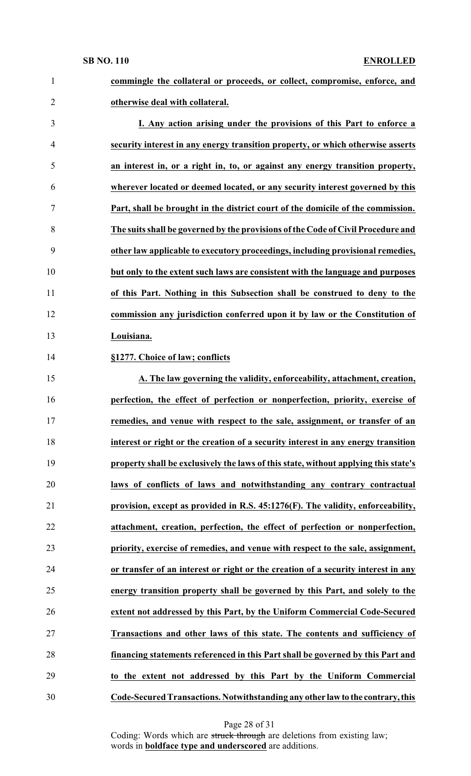| $\mathbf{1}$   | commingle the collateral or proceeds, or collect, compromise, enforce, and          |
|----------------|-------------------------------------------------------------------------------------|
| $\overline{2}$ | otherwise deal with collateral.                                                     |
| 3              | I. Any action arising under the provisions of this Part to enforce a                |
| 4              | security interest in any energy transition property, or which otherwise asserts     |
| 5              | an interest in, or a right in, to, or against any energy transition property,       |
| 6              | wherever located or deemed located, or any security interest governed by this       |
| 7              | Part, shall be brought in the district court of the domicile of the commission.     |
| 8              | The suits shall be governed by the provisions of the Code of Civil Procedure and    |
| 9              | other law applicable to executory proceedings, including provisional remedies,      |
| 10             | but only to the extent such laws are consistent with the language and purposes      |
| 11             | of this Part. Nothing in this Subsection shall be construed to deny to the          |
| 12             | commission any jurisdiction conferred upon it by law or the Constitution of         |
| 13             | Louisiana.                                                                          |
| 14             | §1277. Choice of law; conflicts                                                     |
| 15             | A. The law governing the validity, enforceability, attachment, creation,            |
| 16             | perfection, the effect of perfection or nonperfection, priority, exercise of        |
| 17             | remedies, and venue with respect to the sale, assignment, or transfer of an         |
| 18             | interest or right or the creation of a security interest in any energy transition   |
| 19             | property shall be exclusively the laws of this state, without applying this state's |
| 20             | laws of conflicts of laws and notwithstanding any contrary contractual              |
| 21             | provision, except as provided in R.S. 45:1276(F). The validity, enforceability,     |
| 22             | attachment, creation, perfection, the effect of perfection or nonperfection,        |
| 23             | priority, exercise of remedies, and venue with respect to the sale, assignment,     |
| 24             | or transfer of an interest or right or the creation of a security interest in any   |
| 25             | energy transition property shall be governed by this Part, and solely to the        |
| 26             | extent not addressed by this Part, by the Uniform Commercial Code-Secured           |
| 27             | Transactions and other laws of this state. The contents and sufficiency of          |
| 28             | financing statements referenced in this Part shall be governed by this Part and     |
| 29             | to the extent not addressed by this Part by the Uniform Commercial                  |
| 30             | Code-Secured Transactions. Notwithstanding any other law to the contrary, this      |

Page 28 of 31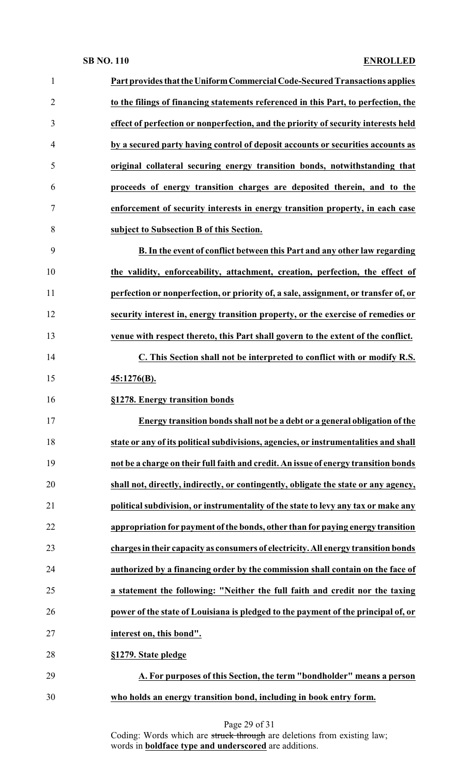| $\mathbf{1}$   | Part provides that the Uniform Commercial Code-Secured Transactions applies          |
|----------------|--------------------------------------------------------------------------------------|
| $\overline{2}$ | to the filings of financing statements referenced in this Part, to perfection, the   |
| 3              | effect of perfection or nonperfection, and the priority of security interests held   |
| 4              | by a secured party having control of deposit accounts or securities accounts as      |
| 5              | original collateral securing energy transition bonds, notwithstanding that           |
| 6              | proceeds of energy transition charges are deposited therein, and to the              |
| 7              | enforcement of security interests in energy transition property, in each case        |
| 8              | subject to Subsection B of this Section.                                             |
| 9              | B. In the event of conflict between this Part and any other law regarding            |
| 10             | the validity, enforceability, attachment, creation, perfection, the effect of        |
| 11             | perfection or nonperfection, or priority of, a sale, assignment, or transfer of, or  |
| 12             | security interest in, energy transition property, or the exercise of remedies or     |
| 13             | venue with respect thereto, this Part shall govern to the extent of the conflict.    |
| 14             | C. This Section shall not be interpreted to conflict with or modify R.S.             |
| 15             | 45:1276(B).                                                                          |
| 16             | §1278. Energy transition bonds                                                       |
| 17             | Energy transition bonds shall not be a debt or a general obligation of the           |
| 18             | state or any of its political subdivisions, agencies, or instrumentalities and shall |
| 19             | not be a charge on their full faith and credit. An issue of energy transition bonds  |
| 20             | shall not, directly, indirectly, or contingently, obligate the state or any agency,  |
| 21             | political subdivision, or instrumentality of the state to levy any tax or make any   |
| 22             | appropriation for payment of the bonds, other than for paying energy transition      |
| 23             | charges in their capacity as consumers of electricity. All energy transition bonds   |
| 24             | authorized by a financing order by the commission shall contain on the face of       |
| 25             | a statement the following: "Neither the full faith and credit nor the taxing         |
| 26             | power of the state of Louisiana is pledged to the payment of the principal of, or    |
| 27             | interest on, this bond".                                                             |
| 28             | §1279. State pledge                                                                  |
| 29             | A. For purposes of this Section, the term "bondholder" means a person                |
| 30             | who holds an energy transition bond, including in book entry form.                   |

Page 29 of 31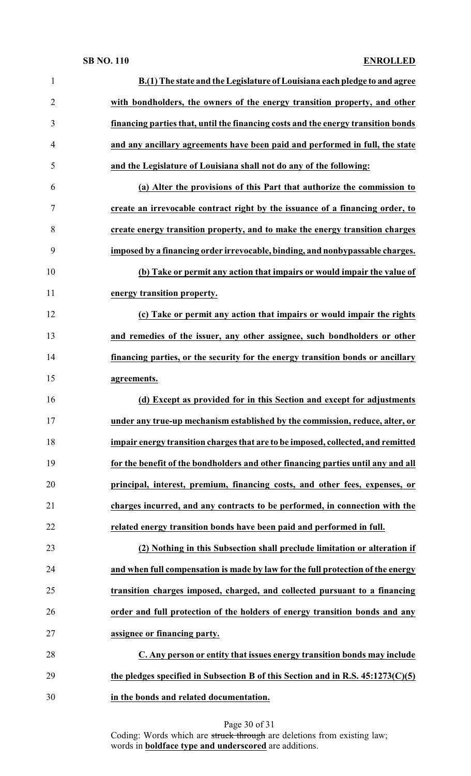| $\mathbf{1}$   | B.(1) The state and the Legislature of Louisiana each pledge to and agree         |
|----------------|-----------------------------------------------------------------------------------|
| $\overline{2}$ | with bondholders, the owners of the energy transition property, and other         |
| 3              | financing parties that, until the financing costs and the energy transition bonds |
| 4              | and any ancillary agreements have been paid and performed in full, the state      |
| 5              | and the Legislature of Louisiana shall not do any of the following:               |
| 6              | (a) Alter the provisions of this Part that authorize the commission to            |
| 7              | create an irrevocable contract right by the issuance of a financing order, to     |
| 8              | create energy transition property, and to make the energy transition charges      |
| 9              | imposed by a financing order irrevocable, binding, and nonbypassable charges.     |
| 10             | (b) Take or permit any action that impairs or would impair the value of           |
| 11             | energy transition property.                                                       |
| 12             | (c) Take or permit any action that impairs or would impair the rights             |
| 13             | and remedies of the issuer, any other assignee, such bondholders or other         |
| 14             | financing parties, or the security for the energy transition bonds or ancillary   |
| 15             | agreements.                                                                       |
| 16             | (d) Except as provided for in this Section and except for adjustments             |
| 17             | under any true-up mechanism established by the commission, reduce, alter, or      |
| 18             | impair energy transition charges that are to be imposed, collected, and remitted  |
| 19             | for the benefit of the bondholders and other financing parties until any and all  |
| 20             | principal, interest, premium, financing costs, and other fees, expenses, or       |
| 21             | charges incurred, and any contracts to be performed, in connection with the       |
| 22             | related energy transition bonds have been paid and performed in full.             |
| 23             | (2) Nothing in this Subsection shall preclude limitation or alteration if         |
| 24             | and when full compensation is made by law for the full protection of the energy   |
| 25             | transition charges imposed, charged, and collected pursuant to a financing        |
| 26             | order and full protection of the holders of energy transition bonds and any       |
| 27             | assignee or financing party.                                                      |
| 28             | C. Any person or entity that issues energy transition bonds may include           |
| 29             | the pledges specified in Subsection B of this Section and in R.S. $45:1273(C)(5)$ |
| 30             | in the bonds and related documentation.                                           |